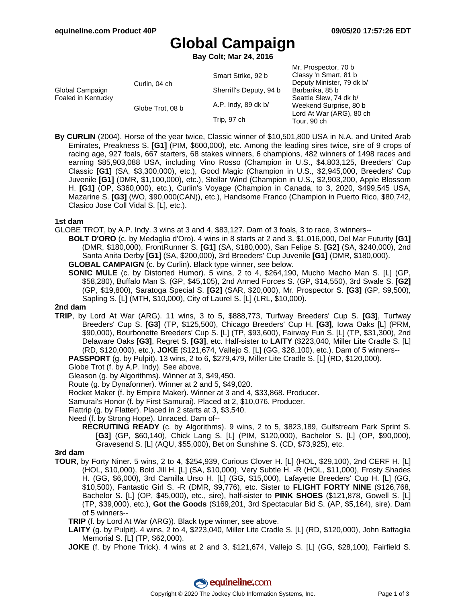Mr. Prospector, 70 b

# **Global Campaign**

**Bay Colt; Mar 24, 2016**

|                                       |                  |                         | IVII. FIUSPECIUI, TU D    |
|---------------------------------------|------------------|-------------------------|---------------------------|
| Global Campaign<br>Foaled in Kentucky | Curlin, 04 ch    | Smart Strike, 92 b      | Classy 'n Smart, 81 b     |
|                                       |                  |                         | Deputy Minister, 79 dk b/ |
|                                       |                  | Sherriff's Deputy, 94 b | Barbarika, 85 b           |
|                                       | Globe Trot, 08 b | A.P. Indy, 89 dk b/     | Seattle Slew, 74 dk b/    |
|                                       |                  |                         | Weekend Surprise, 80 b    |
|                                       |                  | Trip, 97 ch             | Lord At War (ARG), 80 ch  |
|                                       |                  |                         | Tour, 90 ch               |
|                                       |                  |                         |                           |

**By CURLIN** (2004). Horse of the year twice, Classic winner of \$10,501,800 USA in N.A. and United Arab Emirates, Preakness S. **[G1]** (PIM, \$600,000), etc. Among the leading sires twice, sire of 9 crops of racing age, 927 foals, 667 starters, 68 stakes winners, 6 champions, 482 winners of 1498 races and earning \$85,903,088 USA, including Vino Rosso (Champion in U.S., \$4,803,125, Breeders' Cup Classic **[G1]** (SA, \$3,300,000), etc.), Good Magic (Champion in U.S., \$2,945,000, Breeders' Cup Juvenile **[G1]** (DMR, \$1,100,000), etc.), Stellar Wind (Champion in U.S., \$2,903,200, Apple Blossom H. **[G1]** (OP, \$360,000), etc.), Curlin's Voyage (Champion in Canada, to 3, 2020, \$499,545 USA, Mazarine S. **[G3]** (WO, \$90,000(CAN)), etc.), Handsome Franco (Champion in Puerto Rico, \$80,742, Clasico Jose Coll Vidal S. [L], etc.).

## **1st dam**

GLOBE TROT, by A.P. Indy. 3 wins at 3 and 4, \$83,127. Dam of 3 foals, 3 to race, 3 winners--

**BOLT D'ORO** (c. by Medaglia d'Oro). 4 wins in 8 starts at 2 and 3, \$1,016,000, Del Mar Futurity **[G1]** (DMR, \$180,000), FrontRunner S. **[G1]** (SA, \$180,000), San Felipe S. **[G2]** (SA, \$240,000), 2nd Santa Anita Derby **[G1]** (SA, \$200,000), 3rd Breeders' Cup Juvenile **[G1]** (DMR, \$180,000).

**GLOBAL CAMPAIGN** (c. by Curlin). Black type winner, see below.

**SONIC MULE** (c. by Distorted Humor). 5 wins, 2 to 4, \$264,190, Mucho Macho Man S. [L] (GP, \$58,280), Buffalo Man S. (GP, \$45,105), 2nd Armed Forces S. (GP, \$14,550), 3rd Swale S. **[G2]** (GP, \$19,800), Saratoga Special S. **[G2]** (SAR, \$20,000), Mr. Prospector S. **[G3]** (GP, \$9,500), Sapling S. [L] (MTH, \$10,000), City of Laurel S. [L] (LRL, \$10,000).

#### **2nd dam**

**TRIP**, by Lord At War (ARG). 11 wins, 3 to 5, \$888,773, Turfway Breeders' Cup S. **[G3]**, Turfway Breeders' Cup S. **[G3]** (TP, \$125,500), Chicago Breeders' Cup H. **[G3]**, Iowa Oaks [L] (PRM, \$90,000), Bourbonette Breeders' Cup S. [L] (TP, \$93,600), Fairway Fun S. [L] (TP, \$31,300), 2nd Delaware Oaks **[G3]**, Regret S. **[G3]**, etc. Half-sister to **LAITY** (\$223,040, Miller Lite Cradle S. [L] (RD, \$120,000), etc.), **JOKE** (\$121,674, Vallejo S. [L] (GG, \$28,100), etc.). Dam of 5 winners-- **PASSPORT** (g. by Pulpit). 13 wins, 2 to 6, \$279,479, Miller Lite Cradle S. [L] (RD, \$120,000).

Globe Trot (f. by A.P. Indy). See above.

Gleason (g. by Algorithms). Winner at 3, \$49,450.

Route (g. by Dynaformer). Winner at 2 and 5, \$49,020.

Rocket Maker (f. by Empire Maker). Winner at 3 and 4, \$33,868. Producer.

Samurai's Honor (f. by First Samurai). Placed at 2, \$10,076. Producer.

Flattrip (g. by Flatter). Placed in 2 starts at 3, \$3,540.

Need (f. by Strong Hope). Unraced. Dam of--

**RECRUITING READY** (c. by Algorithms). 9 wins, 2 to 5, \$823,189, Gulfstream Park Sprint S. **[G3]** (GP, \$60,140), Chick Lang S. [L] (PIM, \$120,000), Bachelor S. [L] (OP, \$90,000), Gravesend S. [L] (AQU, \$55,000), Bet on Sunshine S. (CD, \$73,925), etc.

## **3rd dam**

**TOUR**, by Forty Niner. 5 wins, 2 to 4, \$254,939, Curious Clover H. [L] (HOL, \$29,100), 2nd CERF H. [L] (HOL, \$10,000), Bold Jill H. [L] (SA, \$10,000), Very Subtle H. -R (HOL, \$11,000), Frosty Shades H. (GG, \$6,000), 3rd Camilla Urso H. [L] (GG, \$15,000), Lafayette Breeders' Cup H. [L] (GG, \$10,500), Fantastic Girl S. -R (DMR, \$9,776), etc. Sister to **FLIGHT FORTY NINE** (\$126,768, Bachelor S. [L] (OP, \$45,000), etc., sire), half-sister to **PINK SHOES** (\$121,878, Gowell S. [L] (TP, \$39,000), etc.), **Got the Goods** (\$169,201, 3rd Spectacular Bid S. (AP, \$5,164), sire). Dam of 5 winners--

**TRIP** (f. by Lord At War (ARG)). Black type winner, see above.

**LAITY** (g. by Pulpit). 4 wins, 2 to 4, \$223,040, Miller Lite Cradle S. [L] (RD, \$120,000), John Battaglia Memorial S. [L] (TP, \$62,000).

**JOKE** (f. by Phone Trick). 4 wins at 2 and 3, \$121,674, Vallejo S. [L] (GG, \$28,100), Fairfield S.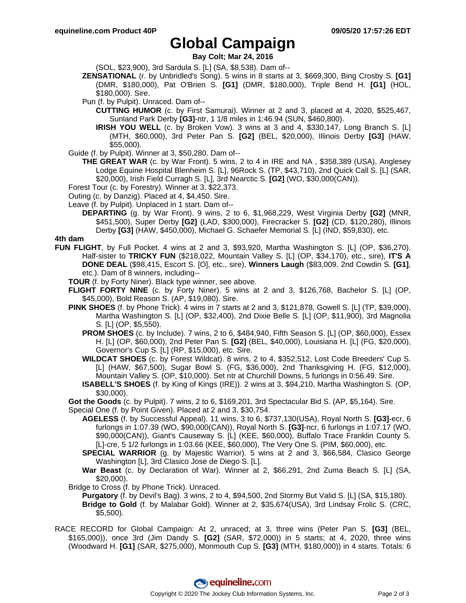# **Global Campaign**

**Bay Colt; Mar 24, 2016**

(SOL, \$23,900), 3rd Sardula S. [L] (SA, \$8,538). Dam of--

- **ZENSATIONAL** (r. by Unbridled's Song). 5 wins in 8 starts at 3, \$669,300, Bing Crosby S. **[G1]** (DMR, \$180,000), Pat O'Brien S. **[G1]** (DMR, \$180,000), Triple Bend H. **[G1]** (HOL, \$180,000). Sire.
- Pun (f. by Pulpit). Unraced. Dam of--
	- **CUTTING HUMOR** (c. by First Samurai). Winner at 2 and 3, placed at 4, 2020, \$525,467, Sunland Park Derby **[G3]**-ntr, 1 1/8 miles in 1:46.94 (SUN, \$460,800).
	- **IRISH YOU WELL** (c. by Broken Vow). 3 wins at 3 and 4, \$330,147, Long Branch S. [L] (MTH, \$60,000), 3rd Peter Pan S. **[G2]** (BEL, \$20,000), Illinois Derby **[G3]** (HAW, \$55,000).
- Guide (f. by Pulpit). Winner at 3, \$50,280. Dam of--
	- **THE GREAT WAR** (c. by War Front). 5 wins, 2 to 4 in IRE and NA , \$358,389 (USA), Anglesey Lodge Equine Hospital Blenheim S. [L], 96Rock S. (TP, \$43,710), 2nd Quick Call S. [L] (SAR, \$20,000), Irish Field Curragh S. [L], 3rd Nearctic S. **[G2]** (WO, \$30,000(CAN)).
- Forest Tour (c. by Forestry). Winner at 3, \$22,373.
- Outing (c. by Danzig). Placed at 4, \$4,450. Sire.
- Leave (f. by Pulpit). Unplaced in 1 start. Dam of--
	- **DEPARTING** (g. by War Front). 9 wins, 2 to 6, \$1,968,229, West Virginia Derby **[G2]** (MNR, \$451,500), Super Derby **[G2]** (LAD, \$300,000), Firecracker S. **[G2]** (CD, \$120,280), Illinois Derby **[G3]** (HAW, \$450,000), Michael G. Schaefer Memorial S. [L] (IND, \$59,830), etc.

## **4th dam**

- **FUN FLIGHT**, by Full Pocket. 4 wins at 2 and 3, \$93,920, Martha Washington S. [L] (OP, \$36,270). Half-sister to **TRICKY FUN** (\$218,022, Mountain Valley S. [L] (OP, \$34,170), etc., sire), **IT'S A DONE DEAL** (\$98,415, Escort S. [O], etc., sire), **Winners Laugh** (\$83,009, 2nd Cowdin S. **[G1]**, etc.). Dam of 8 winners, including--
	- **TOUR** (f. by Forty Niner). Black type winner, see above.
	- **FLIGHT FORTY NINE** (c. by Forty Niner). 5 wins at 2 and 3, \$126,768, Bachelor S. [L] (OP, \$45,000), Bold Reason S. (AP, \$19,080). Sire.
	- **PINK SHOES** (f. by Phone Trick). 4 wins in 7 starts at 2 and 3, \$121,878, Gowell S. [L] (TP, \$39,000), Martha Washington S. [L] (OP, \$32,400), 2nd Dixie Belle S. [L] (OP, \$11,900), 3rd Magnolia S. [L] (OP, \$5,550).
		- **PROM SHOES** (c. by Include). 7 wins, 2 to 6, \$484,940, Fifth Season S. [L] (OP, \$60,000), Essex H. [L] (OP, \$60,000), 2nd Peter Pan S. **[G2]** (BEL, \$40,000), Louisiana H. [L] (FG, \$20,000), Governor's Cup S. [L] (RP, \$15,000), etc. Sire.
		- **WILDCAT SHOES** (c. by Forest Wildcat). 8 wins, 2 to 4, \$352,512, Lost Code Breeders' Cup S. [L] (HAW, \$67,500), Sugar Bowl S. (FG, \$36,000), 2nd Thanksgiving H. (FG, \$12,000), Mountain Valley S. (OP, \$10,000). Set ntr at Churchill Downs, 5 furlongs in 0:56.49. Sire.
		- **ISABELL'S SHOES** (f. by King of Kings (IRE)). 2 wins at 3, \$94,210, Martha Washington S. (OP, \$30,000).
	- **Got the Goods** (c. by Pulpit). 7 wins, 2 to 6, \$169,201, 3rd Spectacular Bid S. (AP, \$5,164). Sire. Special One (f. by Point Given). Placed at 2 and 3, \$30,754.
		- **AGELESS** (f. by Successful Appeal). 11 wins, 3 to 6, \$737,130(USA), Royal North S. **[G3]**-ecr, 6 furlongs in 1:07.39 (WO, \$90,000(CAN)), Royal North S. **[G3]**-ncr, 6 furlongs in 1:07.17 (WO, \$90,000(CAN)), Giant's Causeway S. [L] (KEE, \$60,000), Buffalo Trace Franklin County S. [L]-cre, 5 1/2 furlongs in 1:03.66 (KEE, \$60,000), The Very One S. (PIM, \$60,000), etc.
		- **SPECIAL WARRIOR** (g. by Majestic Warrior). 5 wins at 2 and 3, \$66,584, Clasico George Washington [L], 3rd Clasico Jose de Diego S. [L].
		- **War Beast** (c. by Declaration of War). Winner at 2, \$66,291, 2nd Zuma Beach S. [L] (SA, \$20,000).
	- Bridge to Cross (f. by Phone Trick). Unraced.
		- **Purgatory** (f. by Devil's Bag). 3 wins, 2 to 4, \$94,500, 2nd Stormy But Valid S. [L] (SA, \$15,180).
	- **Bridge to Gold** (f. by Malabar Gold). Winner at 2, \$35,674(USA), 3rd Lindsay Frolic S. (CRC, \$5,500).
- RACE RECORD for Global Campaign: At 2, unraced; at 3, three wins (Peter Pan S. **[G3]** (BEL, \$165,000)), once 3rd (Jim Dandy S. **[G2]** (SAR, \$72,000)) in 5 starts; at 4, 2020, three wins (Woodward H. **[G1]** (SAR, \$275,000), Monmouth Cup S. **[G3]** (MTH, \$180,000)) in 4 starts. Totals: 6